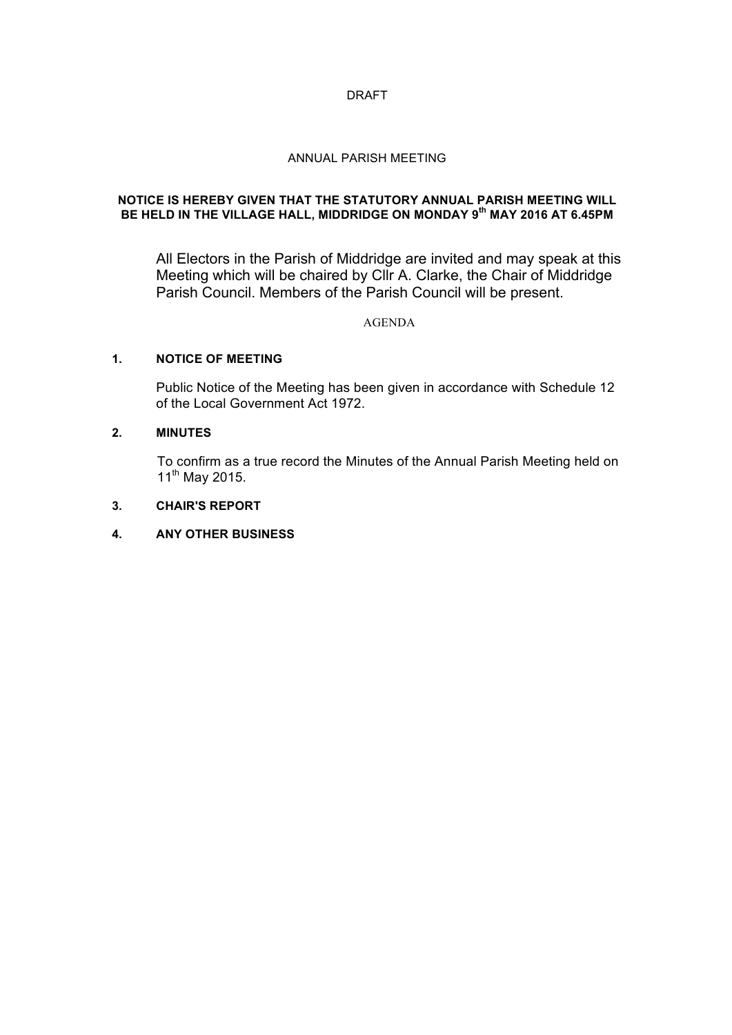### DRAFT

### ANNUAL PARISH MEETING

## **NOTICE IS HEREBY GIVEN THAT THE STATUTORY ANNUAL PARISH MEETING WILL BE HELD IN THE VILLAGE HALL, MIDDRIDGE ON MONDAY 9th MAY 2016 AT 6.45PM**

All Electors in the Parish of Middridge are invited and may speak at this Meeting which will be chaired by Cllr A. Clarke, the Chair of Middridge Parish Council. Members of the Parish Council will be present.

## AGENDA

## **1. NOTICE OF MEETING**

Public Notice of the Meeting has been given in accordance with Schedule 12 of the Local Government Act 1972.

#### **2. MINUTES**

To confirm as a true record the Minutes of the Annual Parish Meeting held on  $11^{th}$  May 2015.

## **3. CHAIR'S REPORT**

## **4. ANY OTHER BUSINESS**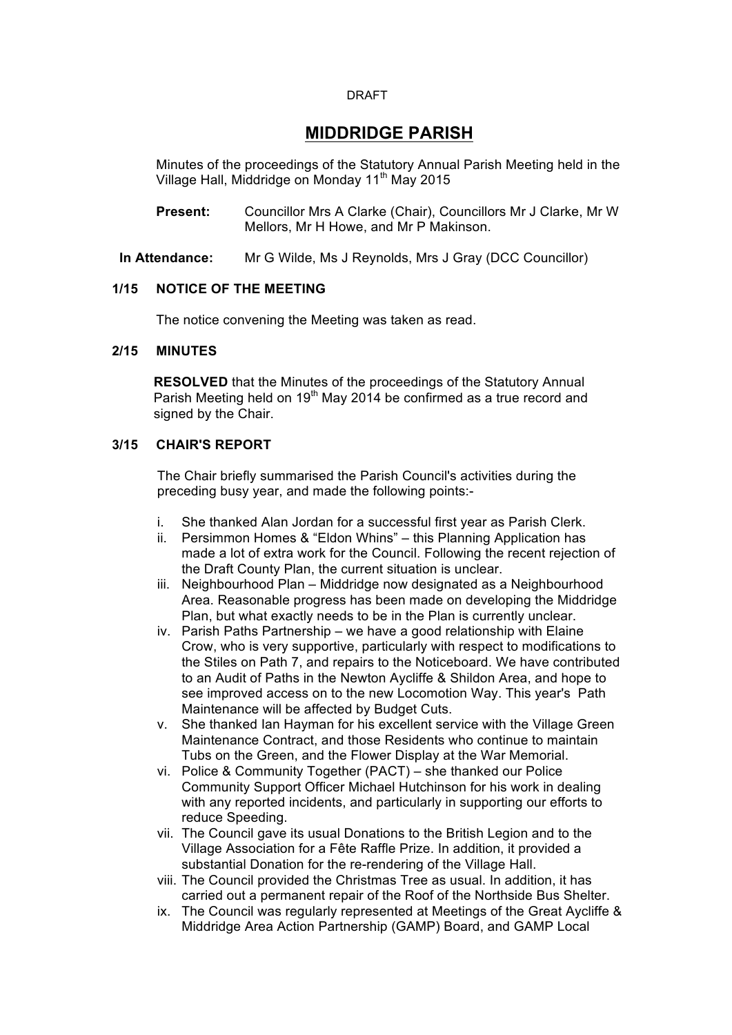#### DRAFT

# **MIDDRIDGE PARISH**

Minutes of the proceedings of the Statutory Annual Parish Meeting held in the Village Hall, Middridge on Monday 11<sup>th</sup> May 2015

- **Present:** Councillor Mrs A Clarke (Chair), Councillors Mr J Clarke, Mr W Mellors, Mr H Howe, and Mr P Makinson.
- **In Attendance:** Mr G Wilde, Ms J Reynolds, Mrs J Gray (DCC Councillor)

## **1/15 NOTICE OF THE MEETING**

The notice convening the Meeting was taken as read.

## **2/15 MINUTES**

**RESOLVED** that the Minutes of the proceedings of the Statutory Annual Parish Meeting held on  $19<sup>th</sup>$  May 2014 be confirmed as a true record and signed by the Chair.

## **3/15 CHAIR'S REPORT**

The Chair briefly summarised the Parish Council's activities during the preceding busy year, and made the following points:-

- i. She thanked Alan Jordan for a successful first year as Parish Clerk.
- ii. Persimmon Homes & "Eldon Whins" this Planning Application has made a lot of extra work for the Council. Following the recent rejection of the Draft County Plan, the current situation is unclear.
- iii. Neighbourhood Plan Middridge now designated as a Neighbourhood Area. Reasonable progress has been made on developing the Middridge Plan, but what exactly needs to be in the Plan is currently unclear.
- iv. Parish Paths Partnership we have a good relationship with Elaine Crow, who is very supportive, particularly with respect to modifications to the Stiles on Path 7, and repairs to the Noticeboard. We have contributed to an Audit of Paths in the Newton Aycliffe & Shildon Area, and hope to see improved access on to the new Locomotion Way. This year's Path Maintenance will be affected by Budget Cuts.
- v. She thanked Ian Hayman for his excellent service with the Village Green Maintenance Contract, and those Residents who continue to maintain Tubs on the Green, and the Flower Display at the War Memorial.
- vi. Police & Community Together (PACT) she thanked our Police Community Support Officer Michael Hutchinson for his work in dealing with any reported incidents, and particularly in supporting our efforts to reduce Speeding.
- vii. The Council gave its usual Donations to the British Legion and to the Village Association for a Fête Raffle Prize. In addition, it provided a substantial Donation for the re-rendering of the Village Hall.
- viii. The Council provided the Christmas Tree as usual. In addition, it has carried out a permanent repair of the Roof of the Northside Bus Shelter.
- ix. The Council was regularly represented at Meetings of the Great Aycliffe & Middridge Area Action Partnership (GAMP) Board, and GAMP Local